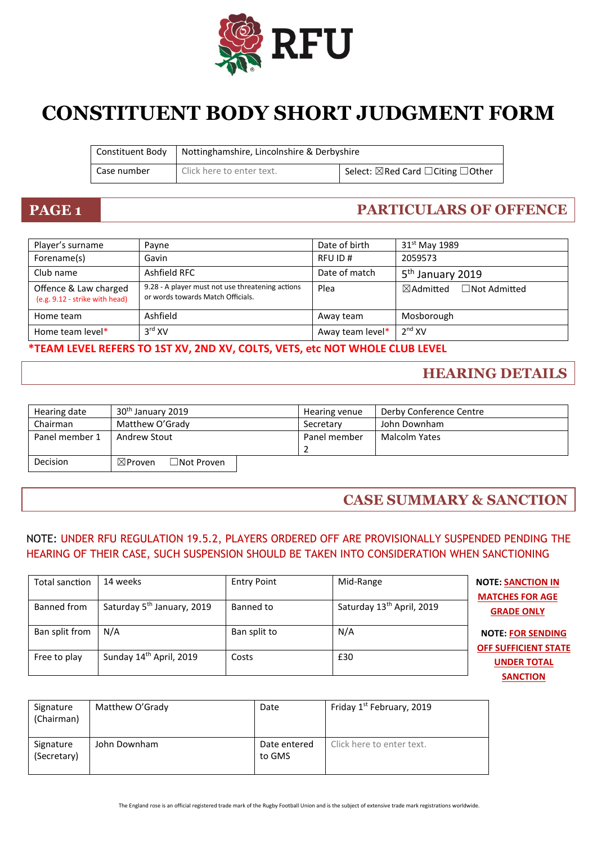

# **CONSTITUENT BODY SHORT JUDGMENT FORM**

|             | Constituent Body   Nottinghamshire, Lincolnshire & Derbyshire |                                                         |
|-------------|---------------------------------------------------------------|---------------------------------------------------------|
| Case number | Click here to enter text.                                     | Select: $\boxtimes$ Red Card $\Box$ Citing $\Box$ Other |

# **PAGE 1 PARTICULARS OF OFFENCE**

| Player's surname                                        | Payne                                                                                 | Date of birth    | 31 <sup>st</sup> May 1989                   |
|---------------------------------------------------------|---------------------------------------------------------------------------------------|------------------|---------------------------------------------|
| Forename(s)                                             | Gavin                                                                                 | RFU ID#          | 2059573                                     |
| Club name                                               | Ashfield RFC                                                                          | Date of match    | 5 <sup>th</sup> January 2019                |
| Offence & Law charged<br>(e.g. 9.12 - strike with head) | 9.28 - A player must not use threatening actions<br>or words towards Match Officials. | Plea             | $\boxtimes$ Admitted<br>$\Box$ Not Admitted |
| Home team                                               | Ashfield                                                                              | Away team        | Mosborough                                  |
| Home team level*                                        | 3 <sup>rd</sup> XV                                                                    | Away team level* | 2 <sup>nd</sup> XV                          |

### **\*TEAM LEVEL REFERS TO 1ST XV, 2ND XV, COLTS, VETS, etc NOT WHOLE CLUB LEVEL**

### **HEARING DETAILS**

| Hearing date   | 30 <sup>th</sup> January 2019                        | Hearing venue | Derby Conference Centre |  |
|----------------|------------------------------------------------------|---------------|-------------------------|--|
| Chairman       | Matthew O'Grady                                      | Secretary     | John Downham            |  |
| Panel member 1 | <b>Andrew Stout</b>                                  | Panel member  | Malcolm Yates           |  |
| Decision       | $\boxtimes$ Proven<br>$\exists$ Not Proven $\exists$ |               |                         |  |

### **CASE SUMMARY & SANCTION**

### NOTE: UNDER RFU REGULATION 19.5.2, PLAYERS ORDERED OFF ARE PROVISIONALLY SUSPENDED PENDING THE HEARING OF THEIR CASE, SUCH SUSPENSION SHOULD BE TAKEN INTO CONSIDERATION WHEN SANCTIONING

| Total sanction | 14 weeks                               | <b>Entry Point</b> | Mid-Range                             | <b>NOTE: SANCTION IN</b><br><b>MATCHES FOR AGE</b>      |
|----------------|----------------------------------------|--------------------|---------------------------------------|---------------------------------------------------------|
| Banned from    | Saturday 5 <sup>th</sup> January, 2019 | Banned to          | Saturday 13 <sup>th</sup> April, 2019 | <b>GRADE ONLY</b>                                       |
| Ban split from | N/A                                    | Ban split to       | N/A                                   | <b>NOTE: FOR SENDING</b><br><b>OFF SUFFICIENT STATE</b> |
| Free to play   | Sunday 14th April, 2019                | Costs              | £30                                   | <b>UNDER TOTAL</b>                                      |
|                |                                        |                    |                                       | <b>SANCTION</b>                                         |

| Signature<br>(Chairman)  | Matthew O'Grady | Date                   | Friday 1 <sup>st</sup> February, 2019 |
|--------------------------|-----------------|------------------------|---------------------------------------|
| Signature<br>(Secretary) | John Downham    | Date entered<br>to GMS | Click here to enter text.             |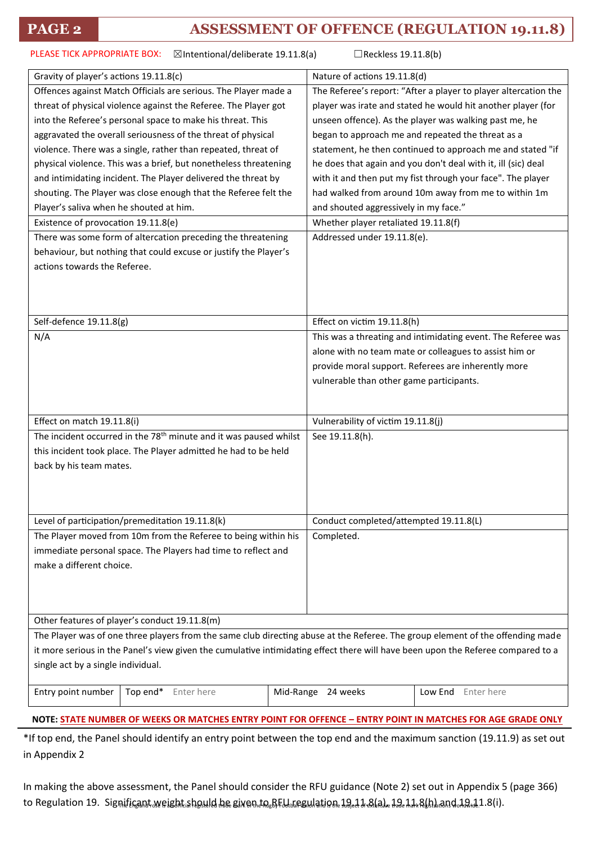$\boxtimes$ Intentional/deliberate 19.11.8(a)  $\Box$ Reckless 19.11.8(b) PLEASE TICK APPROPRIATE BOX:

| Gravity of player's actions 19.11.8(c)                                                                                           |                    | Nature of actions 19.11.8(d)                                    |                                                              |  |
|----------------------------------------------------------------------------------------------------------------------------------|--------------------|-----------------------------------------------------------------|--------------------------------------------------------------|--|
| Offences against Match Officials are serious. The Player made a                                                                  |                    | The Referee's report: "After a player to player altercation the |                                                              |  |
| threat of physical violence against the Referee. The Player got                                                                  |                    | player was irate and stated he would hit another player (for    |                                                              |  |
| into the Referee's personal space to make his threat. This                                                                       |                    | unseen offence). As the player was walking past me, he          |                                                              |  |
| aggravated the overall seriousness of the threat of physical                                                                     |                    | began to approach me and repeated the threat as a               |                                                              |  |
| violence. There was a single, rather than repeated, threat of                                                                    |                    | statement, he then continued to approach me and stated "if      |                                                              |  |
| physical violence. This was a brief, but nonetheless threatening                                                                 |                    | he does that again and you don't deal with it, ill (sic) deal   |                                                              |  |
| and intimidating incident. The Player delivered the threat by                                                                    |                    |                                                                 | with it and then put my fist through your face". The player  |  |
| shouting. The Player was close enough that the Referee felt the                                                                  |                    | had walked from around 10m away from me to within 1m            |                                                              |  |
| Player's saliva when he shouted at him.                                                                                          |                    | and shouted aggressively in my face."                           |                                                              |  |
| Existence of provocation 19.11.8(e)                                                                                              |                    | Whether player retaliated 19.11.8(f)                            |                                                              |  |
| There was some form of altercation preceding the threatening                                                                     |                    | Addressed under 19.11.8(e).                                     |                                                              |  |
| behaviour, but nothing that could excuse or justify the Player's                                                                 |                    |                                                                 |                                                              |  |
| actions towards the Referee.                                                                                                     |                    |                                                                 |                                                              |  |
|                                                                                                                                  |                    |                                                                 |                                                              |  |
|                                                                                                                                  |                    |                                                                 |                                                              |  |
| Self-defence 19.11.8(g)                                                                                                          |                    | Effect on victim 19.11.8(h)                                     |                                                              |  |
|                                                                                                                                  |                    |                                                                 |                                                              |  |
| N/A                                                                                                                              |                    |                                                                 | This was a threating and intimidating event. The Referee was |  |
|                                                                                                                                  |                    |                                                                 | alone with no team mate or colleagues to assist him or       |  |
|                                                                                                                                  |                    |                                                                 | provide moral support. Referees are inherently more          |  |
|                                                                                                                                  |                    | vulnerable than other game participants.                        |                                                              |  |
|                                                                                                                                  |                    |                                                                 |                                                              |  |
| Effect on match 19.11.8(i)                                                                                                       |                    | Vulnerability of victim 19.11.8(j)                              |                                                              |  |
| The incident occurred in the 78 <sup>th</sup> minute and it was paused whilst                                                    |                    | See 19.11.8(h).                                                 |                                                              |  |
| this incident took place. The Player admitted he had to be held                                                                  |                    |                                                                 |                                                              |  |
| back by his team mates.                                                                                                          |                    |                                                                 |                                                              |  |
|                                                                                                                                  |                    |                                                                 |                                                              |  |
|                                                                                                                                  |                    |                                                                 |                                                              |  |
| Level of participation/premeditation 19.11.8(k)                                                                                  |                    | Conduct completed/attempted 19.11.8(L)                          |                                                              |  |
| The Player moved from 10m from the Referee to being within his                                                                   |                    | Completed.                                                      |                                                              |  |
| immediate personal space. The Players had time to reflect and                                                                    |                    |                                                                 |                                                              |  |
| make a different choice.                                                                                                         |                    |                                                                 |                                                              |  |
|                                                                                                                                  |                    |                                                                 |                                                              |  |
|                                                                                                                                  |                    |                                                                 |                                                              |  |
|                                                                                                                                  |                    |                                                                 |                                                              |  |
| Other features of player's conduct 19.11.8(m)                                                                                    |                    |                                                                 |                                                              |  |
| The Player was of one three players from the same club directing abuse at the Referee. The group element of the offending made   |                    |                                                                 |                                                              |  |
| it more serious in the Panel's view given the cumulative intimidating effect there will have been upon the Referee compared to a |                    |                                                                 |                                                              |  |
| single act by a single individual.                                                                                               |                    |                                                                 |                                                              |  |
|                                                                                                                                  | Mid-Range 24 weeks |                                                                 |                                                              |  |
| Entry point number<br>Top end*<br>Enter here                                                                                     |                    |                                                                 | Low End<br>Enter here                                        |  |
| NOTE: STATE NUMBER OF WEEKS OR MATCHES ENTRY POINT FOR OFFENCE - ENTRY POINT IN MATCHES FOR AGE GRADE ONLY                       |                    |                                                                 |                                                              |  |

\*If top end, the Panel should identify an entry point between the top end and the maximum sanction (19.11.9) as set out in Appendix 2

to Regulation 19. Significant weight should he given to RFL regulation. 19.11 &(a). 19. 11 &(h) and 19. 11 &(i In making the above assessment, the Panel should consider the RFU guidance (Note 2) set out in Appendix 5 (page 366)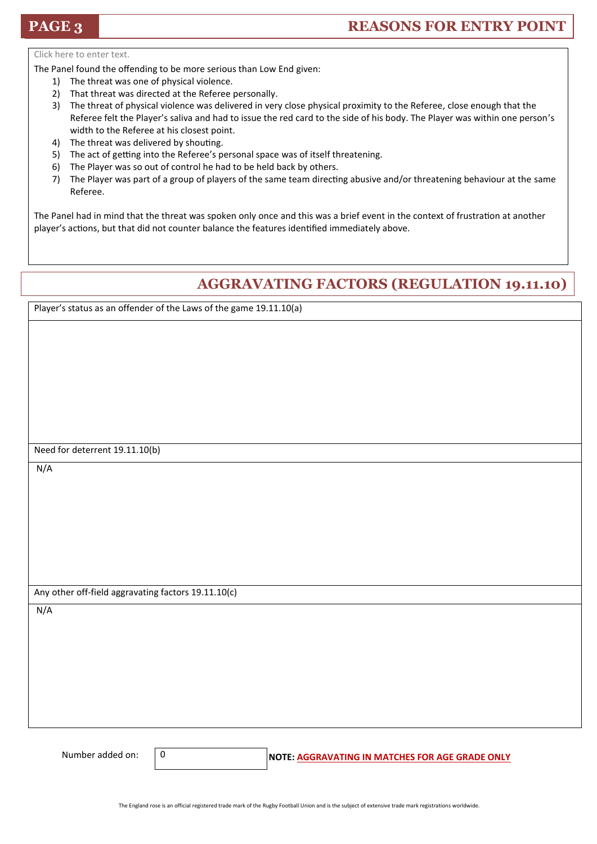### **PAGE 3 REASONS FOR ENTRY POINT**

Click here to enter text.

The Panel found the offending to be more serious than Low End given:

- 1) The threat was one of physical violence.
- 2) That threat was directed at the Referee personally.
- 3) The threat of physical violence was delivered in very close physical proximity to the Referee, close enough that the Referee felt the Player's saliva and had to issue the red card to the side of his body. The Player was within one person's width to the Referee at his closest point.
- 4) The threat was delivered by shouting.
- 5) The act of getting into the Referee's personal space was of itself threatening.
- 6) The Player was so out of control he had to be held back by others.
- 7) The Player was part of a group of players of the same team directing abusive and/or threatening behaviour at the same Referee.

The Panel had in mind that the threat was spoken only once and this was a brief event in the context of frustration at another player's actions, but that did not counter balance the features identified immediately above.

## **AGGRAVATING FACTORS (REGULATION 19.11.10)**

Player's status as an offender of the Laws of the game 19.11.10(a)

Need for deterrent 19.11.10(b)

N/A

Any other off-field aggravating factors 19.11.10(c)

 $\overline{0}$ 

N/A

Number added on:  $\begin{vmatrix} 0 & 1 \end{vmatrix}$  **NOTE: AGGRAVATING IN MATCHES FOR AGE GRADE ONLY**